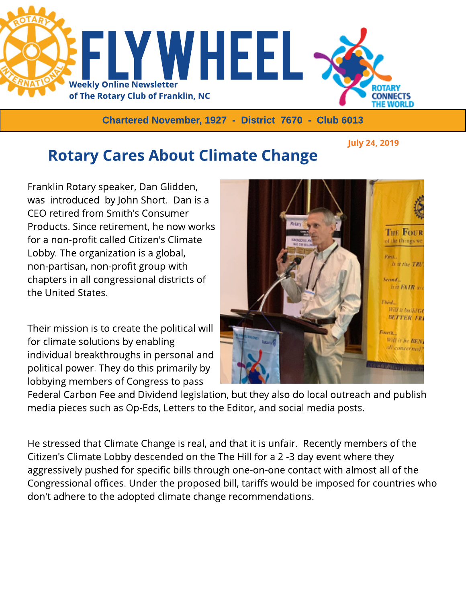

Chartered November, 1927 - District 7670 - Club 6013

July 24, 2019

## **Rotary Cares About Climate Change**

Franklin Rotary speaker, Dan Glidden, was introduced by John Short. Dan is a CEO retired from Smith's Consumer Products. Since retirement, he now works for a non-profit called Citizen's Climate Lobby. The organization is a global, non-partisan, non-profit group with chapters in all congressional districts of the United States.

Their mission is to create the political will for climate solutions by enabling individual breakthroughs in personal and political power. They do this primarily by lobbying members of Congress to pass



Federal Carbon Fee and Dividend legislation, but they also do local outreach and publish media pieces such as Op-Eds, Letters to the Editor, and social media posts.

He stressed that Climate Change is real, and that it is unfair. Recently members of the Citizen's Climate Lobby descended on the The Hill for a 2 -3 day event where they aggressively pushed for specific bills through one-on-one contact with almost all of the Congressional offices. Under the proposed bill, tariffs would be imposed for countries who don't adhere to the adopted climate change recommendations.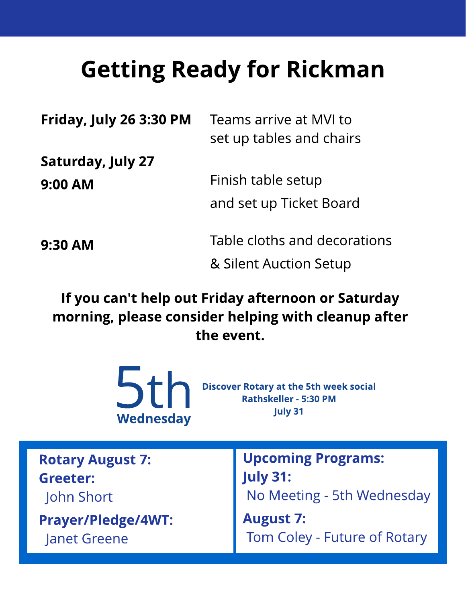## **Getting Ready for Rickman**

| Friday, July 26 3:30 PM | Teams arrive at MVI to<br>set up tables and chairs |
|-------------------------|----------------------------------------------------|
| Saturday, July 27       |                                                    |
| 9:00 AM                 | Finish table setup                                 |
|                         | and set up Ticket Board                            |
| 9:30 AM                 | Table cloths and decorations                       |
|                         | & Silent Auction Setup                             |

If you can't help out Friday afternoon or Saturday morning, please consider helping with cleanup after the event.



**Discover Rotary at the 5th week social** 

| <b>Rotary August 7:</b>   | Upcoming Programs:           |
|---------------------------|------------------------------|
| Greeter:                  | <b>July 31:</b>              |
| John Short                | No Meeting - 5th Wednesday   |
| <b>Prayer/Pledge/4WT:</b> | <b>August 7:</b>             |
| <b>Janet Greene</b>       | Tom Coley - Future of Rotary |